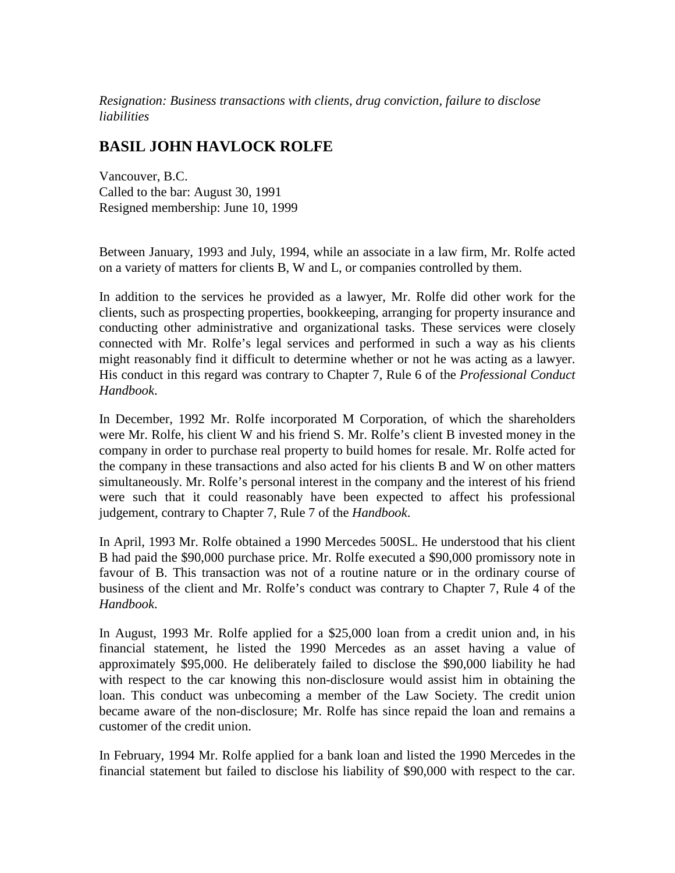*Resignation: Business transactions with clients, drug conviction, failure to disclose liabilities*

## **BASIL JOHN HAVLOCK ROLFE**

Vancouver, B.C. Called to the bar: August 30, 1991 Resigned membership: June 10, 1999

Between January, 1993 and July, 1994, while an associate in a law firm, Mr. Rolfe acted on a variety of matters for clients B, W and L, or companies controlled by them.

In addition to the services he provided as a lawyer, Mr. Rolfe did other work for the clients, such as prospecting properties, bookkeeping, arranging for property insurance and conducting other administrative and organizational tasks. These services were closely connected with Mr. Rolfe's legal services and performed in such a way as his clients might reasonably find it difficult to determine whether or not he was acting as a lawyer. His conduct in this regard was contrary to Chapter 7, Rule 6 of the *Professional Conduct Handbook*.

In December, 1992 Mr. Rolfe incorporated M Corporation, of which the shareholders were Mr. Rolfe, his client W and his friend S. Mr. Rolfe's client B invested money in the company in order to purchase real property to build homes for resale. Mr. Rolfe acted for the company in these transactions and also acted for his clients B and W on other matters simultaneously. Mr. Rolfe's personal interest in the company and the interest of his friend were such that it could reasonably have been expected to affect his professional judgement, contrary to Chapter 7, Rule 7 of the *Handbook*.

In April, 1993 Mr. Rolfe obtained a 1990 Mercedes 500SL. He understood that his client B had paid the \$90,000 purchase price. Mr. Rolfe executed a \$90,000 promissory note in favour of B. This transaction was not of a routine nature or in the ordinary course of business of the client and Mr. Rolfe's conduct was contrary to Chapter 7, Rule 4 of the *Handbook*.

In August, 1993 Mr. Rolfe applied for a \$25,000 loan from a credit union and, in his financial statement, he listed the 1990 Mercedes as an asset having a value of approximately \$95,000. He deliberately failed to disclose the \$90,000 liability he had with respect to the car knowing this non-disclosure would assist him in obtaining the loan. This conduct was unbecoming a member of the Law Society. The credit union became aware of the non-disclosure; Mr. Rolfe has since repaid the loan and remains a customer of the credit union.

In February, 1994 Mr. Rolfe applied for a bank loan and listed the 1990 Mercedes in the financial statement but failed to disclose his liability of \$90,000 with respect to the car.